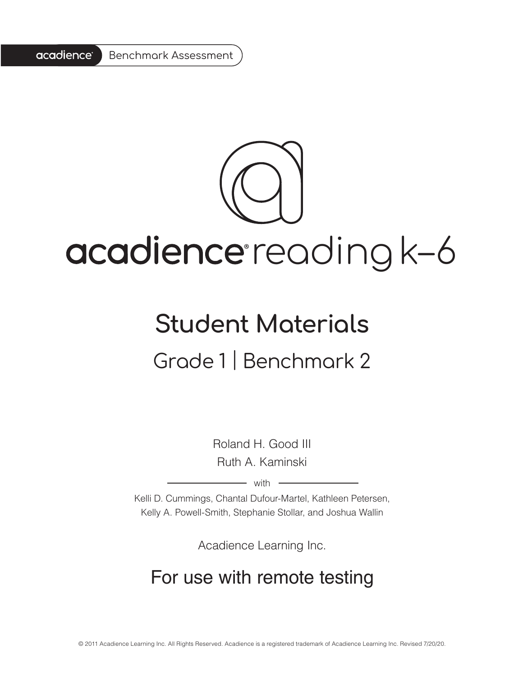

# acadience reading k-6

# **Student Materials** Grade 1 | Benchmark 2

Roland H. Good III Ruth A. Kaminski

 $-$  with  $-$ 

Kelli D. Cummings, Chantal Dufour-Martel, Kathleen Petersen, Kelly A. Powell-Smith, Stephanie Stollar, and Joshua Wallin

Acadience Learning Inc.

# For use with remote testing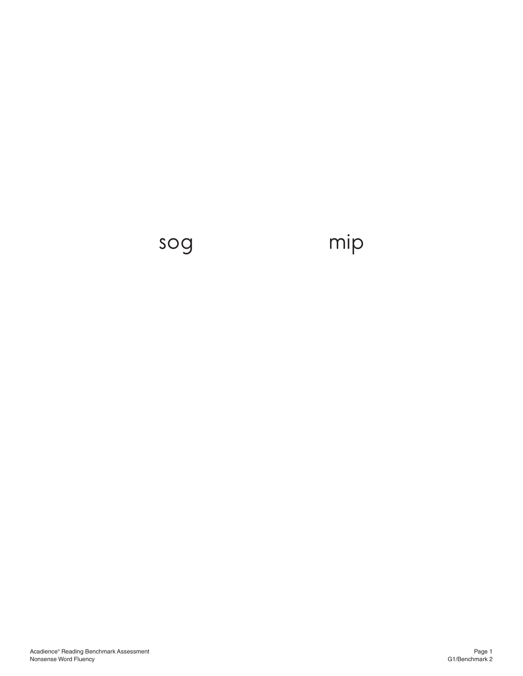# sog mip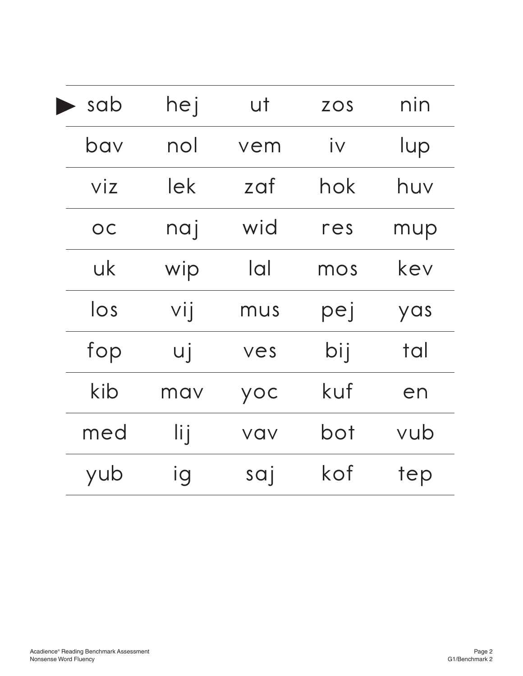| sab              | hej | ut     | <b>ZOS</b> | nin |
|------------------|-----|--------|------------|-----|
| bav              | nol | vem    | İV         | lup |
| V <sub>1</sub> Z | lek | zaf    | hok        | huv |
| OC               | naj | wid    | res        | mup |
| uk               | wip | lal    | mos        | kev |
| $\log$           | vij | mus    | pej        | yas |
| fop              | uj  | ves    | bij        | tal |
| kib              | may | yoc    | kuf        | en  |
| med              | lij | vav    | bot        | vub |
| yub              | ig  | $s$ aj | kof        | tep |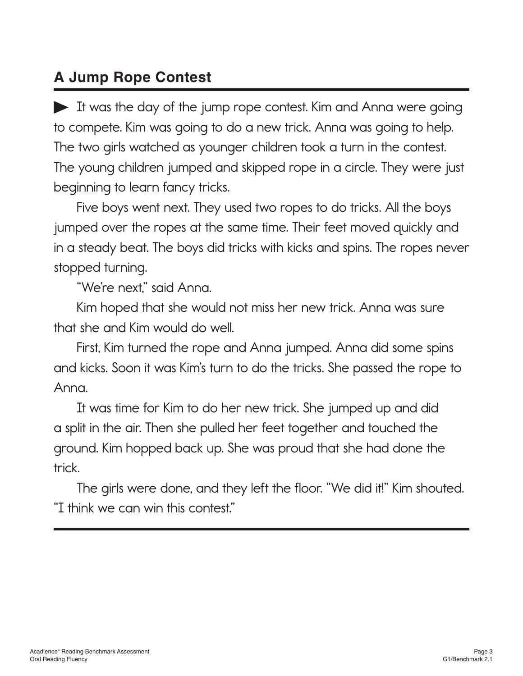## **A Jump Rope Contest**

It was the day of the jump rope contest. Kim and Anna were going to compete. Kim was going to do a new trick. Anna was going to help. The two girls watched as younger children took a turn in the contest. The young children jumped and skipped rope in a circle. They were just beginning to learn fancy tricks.

Five boys went next. They used two ropes to do tricks. All the boys jumped over the ropes at the same time. Their feet moved quickly and in a steady beat. The boys did tricks with kicks and spins. The ropes never stopped turning.

"We're next," said Anna.

Kim hoped that she would not miss her new trick. Anna was sure that she and Kim would do well.

First, Kim turned the rope and Anna jumped. Anna did some spins and kicks. Soon it was Kim's turn to do the tricks. She passed the rope to Anna.

It was time for Kim to do her new trick. She jumped up and did a split in the air. Then she pulled her feet together and touched the ground. Kim hopped back up. She was proud that she had done the trick.

The girls were done, and they left the floor. "We did it!" Kim shouted. "I think we can win this contest."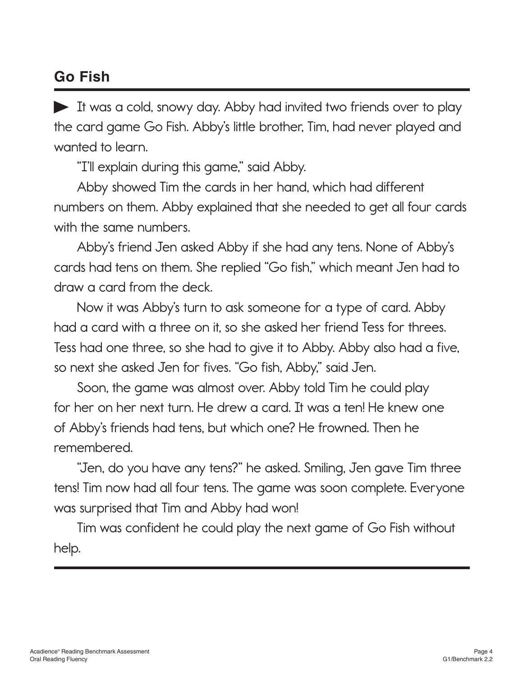### **Go Fish**

It was a cold, snowy day. Abby had invited two friends over to play the card game Go Fish. Abby's little brother, Tim, had never played and wanted to learn.

"I'll explain during this game," said Abby.

Abby showed Tim the cards in her hand, which had different numbers on them. Abby explained that she needed to get all four cards with the same numbers.

Abby's friend Jen asked Abby if she had any tens. None of Abby's cards had tens on them. She replied "Go fish," which meant Jen had to draw a card from the deck.

Now it was Abby's turn to ask someone for a type of card. Abby had a card with a three on it, so she asked her friend Tess for threes. Tess had one three, so she had to give it to Abby. Abby also had a five, so next she asked Jen for fives. "Go fish, Abby," said Jen.

Soon, the game was almost over. Abby told Tim he could play for her on her next turn. He drew a card. It was a ten! He knew one of Abby's friends had tens, but which one? He frowned. Then he remembered.

"Jen, do you have any tens?" he asked. Smiling, Jen gave Tim three tens! Tim now had all four tens. The game was soon complete. Everyone was surprised that Tim and Abby had won!

Tim was confident he could play the next game of Go Fish without help.